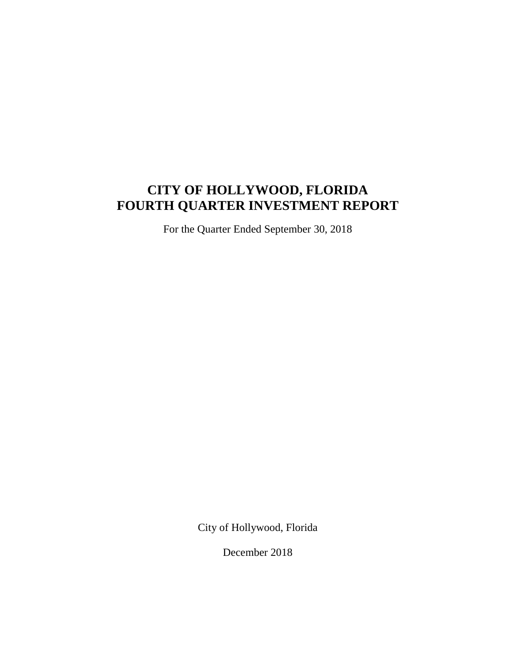# **CITY OF HOLLYWOOD, FLORIDA FOURTH QUARTER INVESTMENT REPORT**

For the Quarter Ended September 30, 2018

City of Hollywood, Florida

December 2018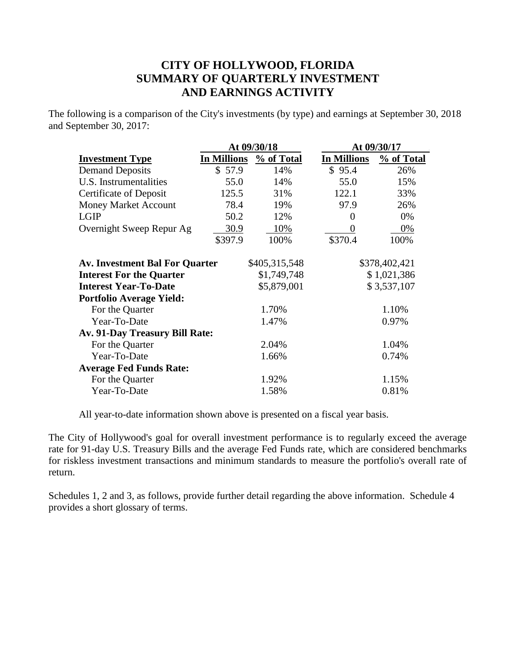# **CITY OF HOLLYWOOD, FLORIDA SUMMARY OF QUARTERLY INVESTMENT AND EARNINGS ACTIVITY**

The following is a comparison of the City's investments (by type) and earnings at September 30, 2018 and September 30, 2017:

|                                       |                    | At 09/30/18   | At 09/30/17        |               |  |
|---------------------------------------|--------------------|---------------|--------------------|---------------|--|
| <b>Investment Type</b>                | <b>In Millions</b> | % of Total    | <b>In Millions</b> | % of Total    |  |
| <b>Demand Deposits</b>                | \$57.9             | 14%           | \$95.4             | 26%           |  |
| U.S. Instrumentalities                | 55.0               | 14%           | 55.0               | 15%           |  |
| <b>Certificate of Deposit</b>         | 125.5              | 31%           | 122.1              | 33%           |  |
| <b>Money Market Account</b>           | 78.4               | 19%           | 97.9               | 26%           |  |
| <b>LGIP</b>                           | 50.2               | 12%           | 0                  | 0%            |  |
| Overnight Sweep Repur Ag              | 30.9               | 10%           | $\Omega$           | 0%            |  |
|                                       | \$397.9            | 100%          | \$370.4            | 100%          |  |
| <b>Av. Investment Bal For Quarter</b> |                    | \$405,315,548 |                    | \$378,402,421 |  |
| <b>Interest For the Quarter</b>       |                    | \$1,749,748   |                    | \$1,021,386   |  |
| <b>Interest Year-To-Date</b>          |                    | \$5,879,001   |                    | \$3,537,107   |  |
| <b>Portfolio Average Yield:</b>       |                    |               |                    |               |  |
| For the Quarter                       |                    | 1.70%         |                    | 1.10%         |  |
| Year-To-Date                          |                    | 1.47%         |                    | 0.97%         |  |
| Av. 91-Day Treasury Bill Rate:        |                    |               |                    |               |  |
| For the Quarter                       |                    | 2.04%         |                    | 1.04%         |  |
| Year-To-Date                          |                    | 1.66%         |                    | 0.74%         |  |
| <b>Average Fed Funds Rate:</b>        |                    |               |                    |               |  |
| For the Quarter                       |                    | 1.92%         |                    | 1.15%         |  |
| Year-To-Date                          |                    | 1.58%         |                    | 0.81%         |  |
|                                       |                    |               |                    |               |  |

All year-to-date information shown above is presented on a fiscal year basis.

The City of Hollywood's goal for overall investment performance is to regularly exceed the average rate for 91-day U.S. Treasury Bills and the average Fed Funds rate, which are considered benchmarks for riskless investment transactions and minimum standards to measure the portfolio's overall rate of return.

Schedules 1, 2 and 3, as follows, provide further detail regarding the above information. Schedule 4 provides a short glossary of terms.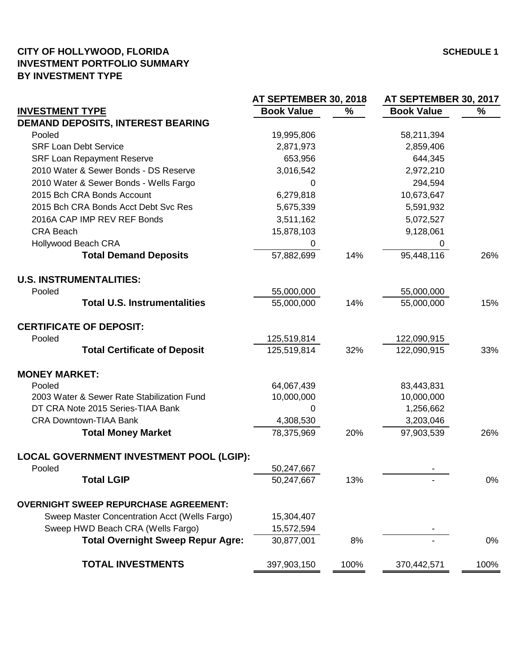### **CITY OF HOLLYWOOD, FLORIDA SCHEDULE 1 INVESTMENT PORTFOLIO SUMMARY BY INVESTMENT TYPE**

|                                               | AT SEPTEMBER 30, 2018 |      |                   | AT SEPTEMBER 30, 2017 |  |  |
|-----------------------------------------------|-----------------------|------|-------------------|-----------------------|--|--|
| <b>INVESTMENT TYPE</b>                        | <b>Book Value</b>     | %    | <b>Book Value</b> | $\%$                  |  |  |
| <b>DEMAND DEPOSITS, INTEREST BEARING</b>      |                       |      |                   |                       |  |  |
| Pooled                                        | 19,995,806            |      | 58,211,394        |                       |  |  |
| <b>SRF Loan Debt Service</b>                  | 2,871,973             |      | 2,859,406         |                       |  |  |
| <b>SRF Loan Repayment Reserve</b>             | 653,956               |      | 644,345           |                       |  |  |
| 2010 Water & Sewer Bonds - DS Reserve         | 3,016,542             |      | 2,972,210         |                       |  |  |
| 2010 Water & Sewer Bonds - Wells Fargo        | 0                     |      | 294,594           |                       |  |  |
| 2015 Bch CRA Bonds Account                    | 6,279,818             |      | 10,673,647        |                       |  |  |
| 2015 Bch CRA Bonds Acct Debt Svc Res          | 5,675,339             |      | 5,591,932         |                       |  |  |
| 2016A CAP IMP REV REF Bonds                   | 3,511,162             |      | 5,072,527         |                       |  |  |
| <b>CRA Beach</b>                              | 15,878,103            |      | 9,128,061         |                       |  |  |
| <b>Hollywood Beach CRA</b>                    | 0                     |      | 0                 |                       |  |  |
| <b>Total Demand Deposits</b>                  | 57,882,699            | 14%  | 95,448,116        | 26%                   |  |  |
| <b>U.S. INSTRUMENTALITIES:</b>                |                       |      |                   |                       |  |  |
| Pooled                                        | 55,000,000            |      | 55,000,000        |                       |  |  |
| <b>Total U.S. Instrumentalities</b>           | 55,000,000            | 14%  | 55,000,000        | 15%                   |  |  |
| <b>CERTIFICATE OF DEPOSIT:</b>                |                       |      |                   |                       |  |  |
| Pooled                                        | 125,519,814           |      | 122,090,915       |                       |  |  |
| <b>Total Certificate of Deposit</b>           | 125,519,814           | 32%  | 122,090,915       | 33%                   |  |  |
| <b>MONEY MARKET:</b>                          |                       |      |                   |                       |  |  |
| Pooled                                        | 64,067,439            |      | 83,443,831        |                       |  |  |
| 2003 Water & Sewer Rate Stabilization Fund    | 10,000,000            |      | 10,000,000        |                       |  |  |
| DT CRA Note 2015 Series-TIAA Bank             | 0                     |      | 1,256,662         |                       |  |  |
| <b>CRA Downtown-TIAA Bank</b>                 | 4,308,530             |      | 3,203,046         |                       |  |  |
| <b>Total Money Market</b>                     | 78,375,969            | 20%  | 97,903,539        | 26%                   |  |  |
| LOCAL GOVERNMENT INVESTMENT POOL (LGIP):      |                       |      |                   |                       |  |  |
| Pooled                                        | 50,247,667            |      |                   |                       |  |  |
| <b>Total LGIP</b>                             | 50,247,667            | 13%  |                   | 0%                    |  |  |
| <b>OVERNIGHT SWEEP REPURCHASE AGREEMENT:</b>  |                       |      |                   |                       |  |  |
| Sweep Master Concentration Acct (Wells Fargo) | 15,304,407            |      |                   |                       |  |  |
| Sweep HWD Beach CRA (Wells Fargo)             | 15,572,594            |      |                   |                       |  |  |
| <b>Total Overnight Sweep Repur Agre:</b>      | 30,877,001            | 8%   |                   | 0%                    |  |  |
| <b>TOTAL INVESTMENTS</b>                      | 397,903,150           | 100% | 370,442,571       | 100%                  |  |  |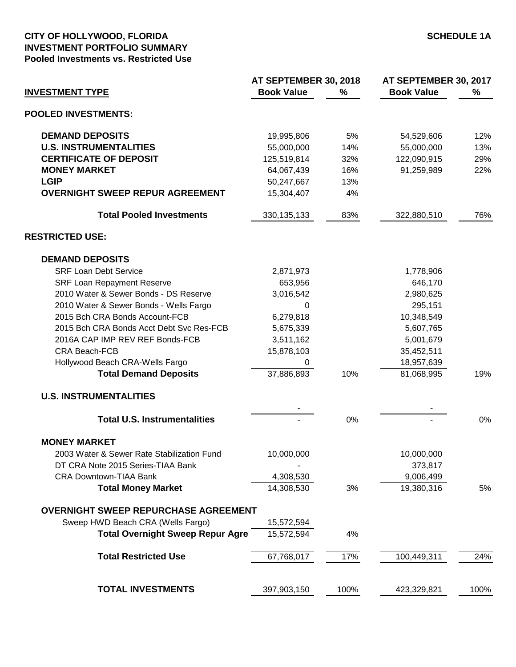#### **CITY OF HOLLYWOOD, FLORIDA SCHEDULE 1A INVESTMENT PORTFOLIO SUMMARY Pooled Investments vs. Restricted Use**

|                                             | AT SEPTEMBER 30, 2018 |      | AT SEPTEMBER 30, 2017 |      |  |
|---------------------------------------------|-----------------------|------|-----------------------|------|--|
| <b>INVESTMENT TYPE</b>                      | <b>Book Value</b>     | $\%$ | <b>Book Value</b>     | %    |  |
| <b>POOLED INVESTMENTS:</b>                  |                       |      |                       |      |  |
| <b>DEMAND DEPOSITS</b>                      | 19,995,806            | 5%   | 54,529,606            | 12%  |  |
| <b>U.S. INSTRUMENTALITIES</b>               | 55,000,000            | 14%  | 55,000,000            | 13%  |  |
| <b>CERTIFICATE OF DEPOSIT</b>               | 125,519,814           | 32%  | 122,090,915           | 29%  |  |
| <b>MONEY MARKET</b>                         | 64,067,439            | 16%  | 91,259,989            | 22%  |  |
| <b>LGIP</b>                                 | 50,247,667            | 13%  |                       |      |  |
| <b>OVERNIGHT SWEEP REPUR AGREEMENT</b>      | 15,304,407            | 4%   |                       |      |  |
| <b>Total Pooled Investments</b>             | 330, 135, 133         | 83%  | 322,880,510           | 76%  |  |
| <b>RESTRICTED USE:</b>                      |                       |      |                       |      |  |
| <b>DEMAND DEPOSITS</b>                      |                       |      |                       |      |  |
| <b>SRF Loan Debt Service</b>                | 2,871,973             |      | 1,778,906             |      |  |
| <b>SRF Loan Repayment Reserve</b>           | 653,956               |      | 646,170               |      |  |
| 2010 Water & Sewer Bonds - DS Reserve       | 3,016,542             |      | 2,980,625             |      |  |
| 2010 Water & Sewer Bonds - Wells Fargo      | 0                     |      | 295,151               |      |  |
| 2015 Bch CRA Bonds Account-FCB              | 6,279,818             |      | 10,348,549            |      |  |
| 2015 Bch CRA Bonds Acct Debt Svc Res-FCB    | 5,675,339             |      | 5,607,765             |      |  |
| 2016A CAP IMP REV REF Bonds-FCB             | 3,511,162             |      | 5,001,679             |      |  |
| <b>CRA Beach-FCB</b>                        | 15,878,103            |      | 35,452,511            |      |  |
| Hollywood Beach CRA-Wells Fargo             | 0                     |      | 18,957,639            |      |  |
| <b>Total Demand Deposits</b>                | 37,886,893            | 10%  | 81,068,995            | 19%  |  |
| <b>U.S. INSTRUMENTALITIES</b>               |                       |      |                       |      |  |
|                                             |                       |      |                       |      |  |
| <b>Total U.S. Instrumentalities</b>         |                       | 0%   |                       | 0%   |  |
| <b>MONEY MARKET</b>                         |                       |      |                       |      |  |
| 2003 Water & Sewer Rate Stabilization Fund  | 10,000,000            |      | 10,000,000            |      |  |
| DT CRA Note 2015 Series-TIAA Bank           |                       |      | 373,817               |      |  |
| <b>CRA Downtown-TIAA Bank</b>               | 4,308,530             |      | 9,006,499             |      |  |
| <b>Total Money Market</b>                   | 14,308,530            | 3%   | 19,380,316            | 5%   |  |
| <b>OVERNIGHT SWEEP REPURCHASE AGREEMENT</b> |                       |      |                       |      |  |
| Sweep HWD Beach CRA (Wells Fargo)           | 15,572,594            |      |                       |      |  |
| <b>Total Overnight Sweep Repur Agre</b>     | 15,572,594            | 4%   |                       |      |  |
| <b>Total Restricted Use</b>                 | 67,768,017            | 17%  | 100,449,311           | 24%  |  |
| <b>TOTAL INVESTMENTS</b>                    | 397,903,150           | 100% | 423,329,821           | 100% |  |
|                                             |                       |      |                       |      |  |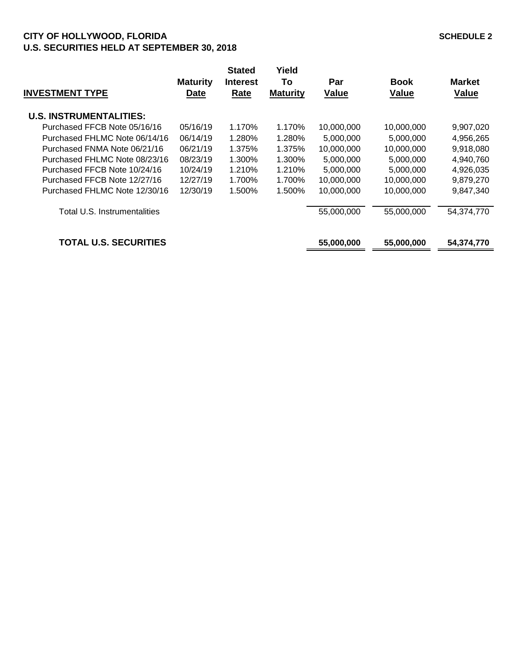## **CITY OF HOLLYWOOD, FLORIDA SCHEDULE 2 U.S. SECURITIES HELD AT SEPTEMBER 30, 2018**

| <b>INVESTMENT TYPE</b>         | <b>Maturity</b><br><b>Date</b> | <b>Stated</b><br><b>Interest</b><br>Rate | Yield<br>To<br><b>Maturity</b> | Par<br><b>Value</b> | <b>Book</b><br><b>Value</b> | <b>Market</b><br><b>Value</b> |
|--------------------------------|--------------------------------|------------------------------------------|--------------------------------|---------------------|-----------------------------|-------------------------------|
| <b>U.S. INSTRUMENTALITIES:</b> |                                |                                          |                                |                     |                             |                               |
| Purchased FFCB Note 05/16/16   | 05/16/19                       | 1.170%                                   | 1.170%                         | 10,000,000          | 10,000,000                  | 9,907,020                     |
| Purchased FHLMC Note 06/14/16  | 06/14/19                       | 1.280%                                   | 1.280%                         | 5,000,000           | 5,000,000                   | 4,956,265                     |
| Purchased FNMA Note 06/21/16   | 06/21/19                       | 1.375%                                   | 1.375%                         | 10,000,000          | 10,000,000                  | 9,918,080                     |
| Purchased FHLMC Note 08/23/16  | 08/23/19                       | 1.300%                                   | 1.300%                         | 5,000,000           | 5,000,000                   | 4,940,760                     |
| Purchased FFCB Note 10/24/16   | 10/24/19                       | 1.210%                                   | 1.210%                         | 5,000,000           | 5,000,000                   | 4,926,035                     |
| Purchased FFCB Note 12/27/16   | 12/27/19                       | 1.700%                                   | 1.700%                         | 10,000,000          | 10,000,000                  | 9,879,270                     |
| Purchased FHLMC Note 12/30/16  | 12/30/19                       | 1.500%                                   | 1.500%                         | 10,000,000          | 10.000.000                  | 9.847.340                     |
| Total U.S. Instrumentalities   |                                |                                          |                                | 55,000,000          | 55,000,000                  | 54,374,770                    |
| <b>TOTAL U.S. SECURITIES</b>   |                                |                                          |                                | 55,000,000          | 55,000,000                  | 54,374,770                    |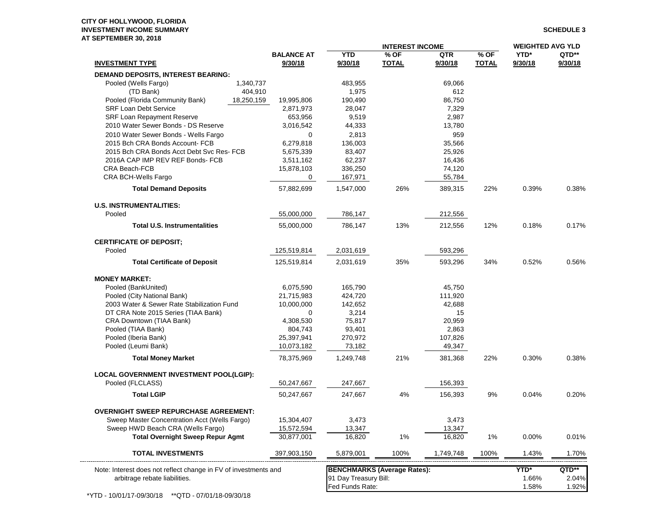#### **CITY OF HOLLYWOOD, FLORIDA INVESTMENT INCOME SUMMARY SCHEDULE 3 AT SEPTEMBER 30, 2018**

|                                                                 |                   | <b>INTEREST INCOME</b>             |              |           | <b>WEIGHTED AVG YLD</b> |         |         |
|-----------------------------------------------------------------|-------------------|------------------------------------|--------------|-----------|-------------------------|---------|---------|
|                                                                 | <b>BALANCE AT</b> | <b>YTD</b>                         | $%$ OF       | QTR       | $%$ OF                  | YTD*    | QTD**   |
| <b>INVESTMENT TYPE</b>                                          | 9/30/18           | 9/30/18                            | <b>TOTAL</b> | 9/30/18   | <b>TOTAL</b>            | 9/30/18 | 9/30/18 |
| DEMAND DEPOSITS, INTEREST BEARING:                              |                   |                                    |              |           |                         |         |         |
| Pooled (Wells Fargo)<br>1,340,737                               |                   | 483,955                            |              | 69,066    |                         |         |         |
| (TD Bank)<br>404,910                                            |                   | 1,975                              |              | 612       |                         |         |         |
| Pooled (Florida Community Bank)<br>18,250,159                   | 19,995,806        | 190.490                            |              | 86,750    |                         |         |         |
| <b>SRF Loan Debt Service</b>                                    | 2,871,973         | 28,047                             |              | 7,329     |                         |         |         |
| SRF Loan Repayment Reserve                                      | 653,956           | 9,519                              |              | 2,987     |                         |         |         |
| 2010 Water Sewer Bonds - DS Reserve                             | 3,016,542         | 44,333                             |              | 13,780    |                         |         |         |
| 2010 Water Sewer Bonds - Wells Fargo                            | 0                 | 2,813                              |              | 959       |                         |         |         |
| 2015 Bch CRA Bonds Account- FCB                                 | 6,279,818         | 136,003                            |              | 35,566    |                         |         |         |
| 2015 Bch CRA Bonds Acct Debt Svc Res- FCB                       | 5,675,339         | 83,407                             |              | 25,926    |                         |         |         |
| 2016A CAP IMP REV REF Bonds- FCB                                | 3,511,162         | 62,237                             |              | 16,436    |                         |         |         |
| CRA Beach-FCB                                                   | 15,878,103        | 336,250                            |              | 74,120    |                         |         |         |
| CRA BCH-Wells Fargo                                             | 0                 | 167,971                            |              | 55,784    |                         |         |         |
| <b>Total Demand Deposits</b>                                    | 57,882,699        | 1,547,000                          | 26%          | 389,315   | 22%                     | 0.39%   | 0.38%   |
| <b>U.S. INSTRUMENTALITIES:</b>                                  |                   |                                    |              |           |                         |         |         |
| Pooled                                                          | 55,000,000        | 786,147                            |              | 212,556   |                         |         |         |
| <b>Total U.S. Instrumentalities</b>                             | 55,000,000        | 786,147                            | 13%          | 212,556   | 12%                     | 0.18%   | 0.17%   |
| <b>CERTIFICATE OF DEPOSIT;</b>                                  |                   |                                    |              |           |                         |         |         |
| Pooled                                                          | 125,519,814       | 2,031,619                          |              | 593,296   |                         |         |         |
| <b>Total Certificate of Deposit</b>                             | 125,519,814       | 2,031,619                          | 35%          | 593,296   | 34%                     | 0.52%   | 0.56%   |
| <b>MONEY MARKET:</b>                                            |                   |                                    |              |           |                         |         |         |
| Pooled (BankUnited)                                             | 6,075,590         | 165,790                            |              | 45,750    |                         |         |         |
| Pooled (City National Bank)                                     | 21,715,983        | 424,720                            |              | 111,920   |                         |         |         |
| 2003 Water & Sewer Rate Stabilization Fund                      | 10,000,000        | 142,652                            |              | 42,688    |                         |         |         |
| DT CRA Note 2015 Series (TIAA Bank)                             | 0                 | 3,214                              |              | 15        |                         |         |         |
| CRA Downtown (TIAA Bank)                                        | 4,308,530         | 75,817                             |              | 20,959    |                         |         |         |
| Pooled (TIAA Bank)                                              | 804,743           | 93,401                             |              | 2,863     |                         |         |         |
| Pooled (Iberia Bank)                                            | 25,397,941        | 270,972                            |              | 107,826   |                         |         |         |
| Pooled (Leumi Bank)                                             | 10,073,182        | 73,182                             |              | 49,347    |                         |         |         |
| <b>Total Money Market</b>                                       | 78,375,969        | 1,249,748                          | 21%          | 381,368   | 22%                     | 0.30%   | 0.38%   |
| <b>LOCAL GOVERNMENT INVESTMENT POOL(LGIP):</b>                  |                   |                                    |              |           |                         |         |         |
| Pooled (FLCLASS)                                                | 50,247,667        | 247,667                            |              | 156,393   |                         |         |         |
| <b>Total LGIP</b>                                               | 50,247,667        | 247,667                            | 4%           | 156,393   | 9%                      | 0.04%   | 0.20%   |
| <b>OVERNIGHT SWEEP REPURCHASE AGREEMENT:</b>                    |                   |                                    |              |           |                         |         |         |
| Sweep Master Concentration Acct (Wells Fargo)                   | 15,304,407        | 3,473                              |              | 3,473     |                         |         |         |
| Sweep HWD Beach CRA (Wells Fargo)                               | 15,572,594        | 13,347                             |              | 13,347    |                         |         |         |
| <b>Total Overnight Sweep Repur Agmt</b>                         | 30,877,001        | 16,820                             | 1%           | 16,820    | 1%                      | 0.00%   | 0.01%   |
| <b>TOTAL INVESTMENTS</b>                                        | 397,903,150       | 5,879,001                          | 100%         | 1,749,748 | 100%                    | 1.43%   | 1.70%   |
| Note: Interest does not reflect change in FV of investments and |                   | <b>BENCHMARKS (Average Rates):</b> |              |           |                         | YTD*    | QTD**   |
| arbitrage rebate liabilities.                                   |                   | 91 Day Treasury Bill:              |              |           |                         | 1.66%   | 2.04%   |
|                                                                 |                   | Fed Funds Rate:                    |              |           |                         | 1.58%   | 1.92%   |